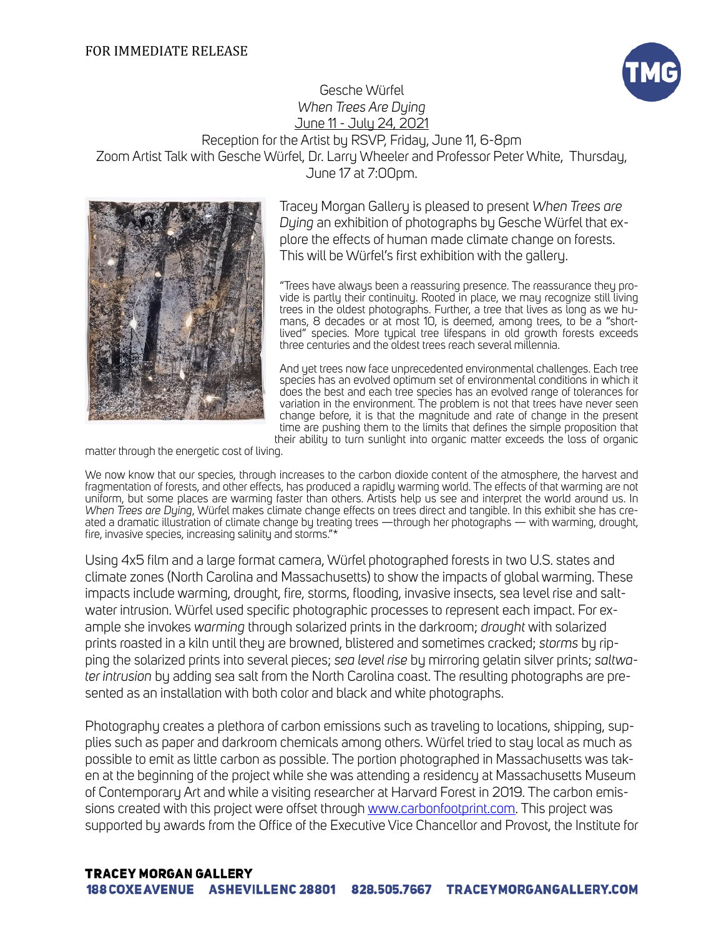## FOR IMMEDIATE RELEASE



Gesche Würfel *When Trees Are Dying*  June 11 - July 24, 2021

Reception for the Artist by RSVP, Friday, June 11, 6-8pm Zoom Artist Talk with Gesche Würfel, Dr. Larry Wheeler and Professor Peter White, Thursday, June 17 at 7:00pm.



Tracey Morgan Gallery is pleased to present *When Trees are Dying* an exhibition of photographs by Gesche Würfel that explore the effects of human made climate change on forests. This will be Würfel's first exhibition with the gallery.

"Trees have always been a reassuring presence. The reassurance they provide is partly their continuity. Rooted in place, we may recognize still living trees in the oldest photographs. Further, a tree that lives as long as we humans, 8 decades or at most 10, is deemed, among trees, to be a "shortlived" species. More typical tree lifespans in old growth forests exceeds three centuries and the oldest trees reach several millennia.

And yet trees now face unprecedented environmental challenges. Each tree species has an evolved optimum set of environmental conditions in which it does the best and each tree species has an evolved range of tolerances for variation in the environment. The problem is not that trees have never seen change before, it is that the magnitude and rate of change in the present time are pushing them to the limits that defines the simple proposition that their ability to turn sunlight into organic matter exceeds the loss of organic

matter through the energetic cost of living.

We now know that our species, through increases to the carbon dioxide content of the atmosphere, the harvest and fragmentation of forests, and other effects, has produced a rapidly warming world. The effects of that warming are not uniform, but some places are warming faster than others. Artists help us see and interpret the world around us. In *When Trees are Dying*, Würfel makes climate change effects on trees direct and tangible. In this exhibit she has created a dramatic illustration of climate change by treating trees —through her photographs — with warming, drought, fire, invasive species, increasing salinity and storms."\*

Using 4x5 film and a large format camera, Würfel photographed forests in two U.S. states and climate zones (North Carolina and Massachusetts) to show the impacts of global warming. These impacts include warming, drought, fire, storms, flooding, invasive insects, sea level rise and saltwater intrusion. Würfel used specific photographic processes to represent each impact. For example she invokes *warming* through solarized prints in the darkroom; *drought* with solarized prints roasted in a kiln until they are browned, blistered and sometimes cracked; *storms* by ripping the solarized prints into several pieces; *sea level rise* by mirroring gelatin silver prints; *saltwater intrusion* by adding sea salt from the North Carolina coast. The resulting photographs are presented as an installation with both color and black and white photographs.

Photography creates a plethora of carbon emissions such as traveling to locations, shipping, supplies such as paper and darkroom chemicals among others. Würfel tried to stay local as much as possible to emit as little carbon as possible. The portion photographed in Massachusetts was taken at the beginning of the project while she was attending a residency at Massachusetts Museum of Contemporary Art and while a visiting researcher at Harvard Forest in 2019. The carbon emissions created with this project were offset through [www.carbonfootprint.com.](http://www.carbonfootprint.com) This project was supported by awards from the Office of the Executive Vice Chancellor and Provost, the Institute for